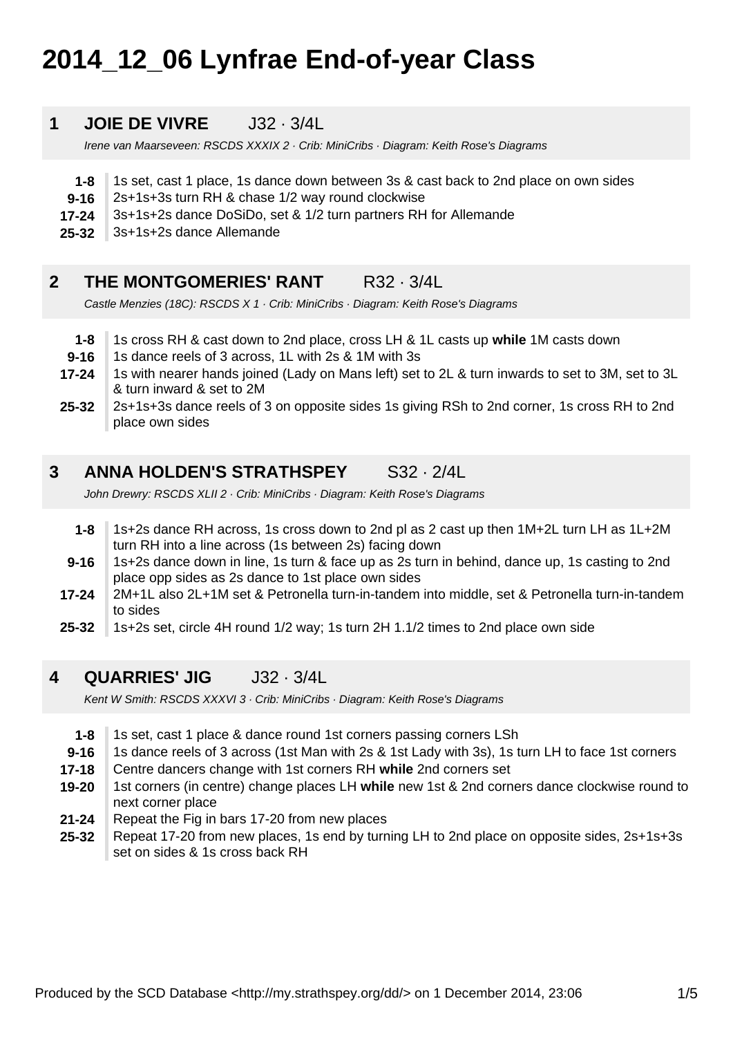# **2014\_12\_06 Lynfrae End-of-year Class**

#### **1 JOIE DE VIVRE J32 · 3/4L**

Irene van Maarseveen: RSCDS XXXIX 2 · Crib: MiniCribs · Diagram: Keith Rose's Diagrams

- **1-8** 1s set, cast 1 place, 1s dance down between 3s & cast back to 2nd place on own sides
- **9-16** 2s+1s+3s turn RH & chase 1/2 way round clockwise
- **17-24** 3s+1s+2s dance DoSiDo, set & 1/2 turn partners RH for Allemande
- **25-32** 3s+1s+2s dance Allemande

### **2 THE MONTGOMERIES' RANT R32 · 3/4L**

Castle Menzies (18C): RSCDS X 1 · Crib: MiniCribs · Diagram: Keith Rose's Diagrams

- **1-8** 1s cross RH & cast down to 2nd place, cross LH & 1L casts up **while** 1M casts down
- **9-16** 1s dance reels of 3 across, 1L with 2s & 1M with 3s
- **17-24** 1s with nearer hands joined (Lady on Mans left) set to 2L & turn inwards to set to 3M, set to 3L & turn inward & set to 2M
- **25-32** 2s+1s+3s dance reels of 3 on opposite sides 1s giving RSh to 2nd corner, 1s cross RH to 2nd place own sides

### **3 ANNA HOLDEN'S STRATHSPEY** S32 · 2/4L

John Drewry: RSCDS XLII 2 · Crib: MiniCribs · Diagram: Keith Rose's Diagrams

- **1-8** 1s+2s dance RH across, 1s cross down to 2nd pl as 2 cast up then 1M+2L turn LH as 1L+2M turn RH into a line across (1s between 2s) facing down
- **9-16** 1s+2s dance down in line, 1s turn & face up as 2s turn in behind, dance up, 1s casting to 2nd place opp sides as 2s dance to 1st place own sides
- **17-24** 2M+1L also 2L+1M set & Petronella turn-in-tandem into middle, set & Petronella turn-in-tandem to sides
- **25-32** 1s+2s set, circle 4H round 1/2 way; 1s turn 2H 1.1/2 times to 2nd place own side

#### **4 QUARRIES' JIG** J32 · 3/4L

Kent W Smith: RSCDS XXXVI 3 · Crib: MiniCribs · Diagram: Keith Rose's Diagrams

- **1-8** 1s set, cast 1 place & dance round 1st corners passing corners LSh
- **9-16** 1s dance reels of 3 across (1st Man with 2s & 1st Lady with 3s), 1s turn LH to face 1st corners
- **17-18** Centre dancers change with 1st corners RH **while** 2nd corners set
- **19-20** 1st corners (in centre) change places LH **while** new 1st & 2nd corners dance clockwise round to next corner place
- **21-24** Repeat the Fig in bars 17-20 from new places
- **25-32** Repeat 17-20 from new places, 1s end by turning LH to 2nd place on opposite sides, 2s+1s+3s set on sides & 1s cross back RH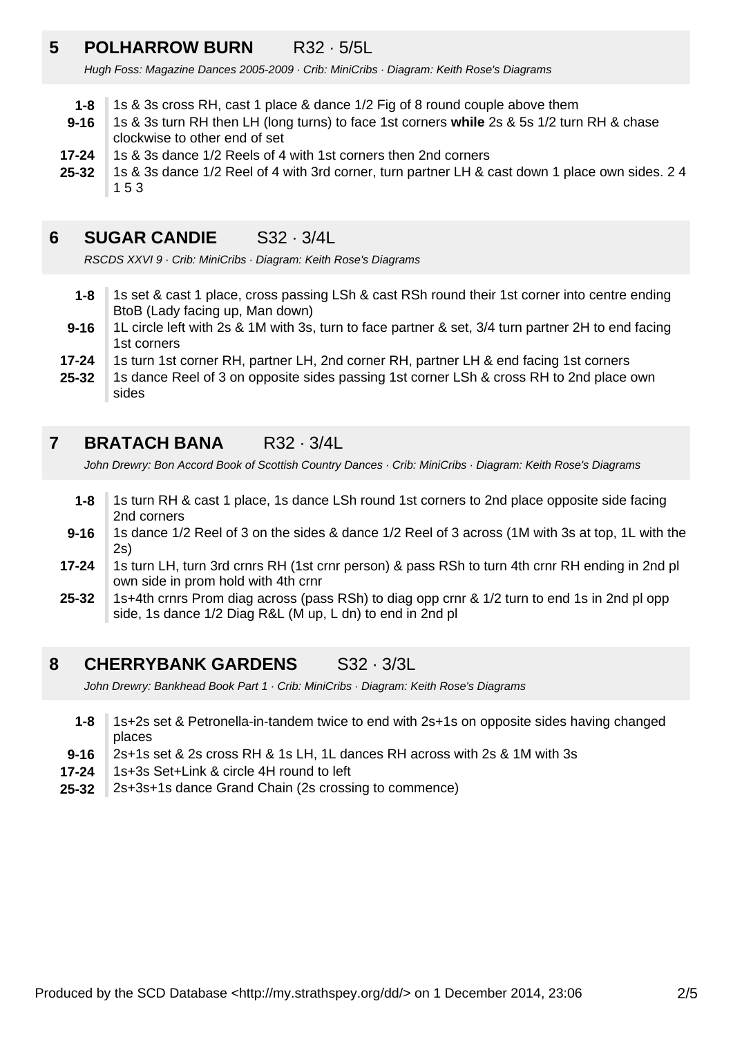# **5 POLHARROW BURN** R32 · 5/5L

Hugh Foss: Magazine Dances 2005-2009 · Crib: MiniCribs · Diagram: Keith Rose's Diagrams

- **1-8** 1s & 3s cross RH, cast 1 place & dance 1/2 Fig of 8 round couple above them
- **9-16** 1s & 3s turn RH then LH (long turns) to face 1st corners **while** 2s & 5s 1/2 turn RH & chase clockwise to other end of set
- **17-24** 1s & 3s dance 1/2 Reels of 4 with 1st corners then 2nd corners
- **25-32** 1s & 3s dance 1/2 Reel of 4 with 3rd corner, turn partner LH & cast down 1 place own sides. 2 4 1 5 3

### **6 SUGAR CANDIE** S32 · 3/4L

RSCDS XXVI 9 · Crib: MiniCribs · Diagram: Keith Rose's Diagrams

- **1-8** 1s set & cast 1 place, cross passing LSh & cast RSh round their 1st corner into centre ending BtoB (Lady facing up, Man down)
- **9-16** 1L circle left with 2s & 1M with 3s, turn to face partner & set, 3/4 turn partner 2H to end facing 1st corners
- **17-24** 1s turn 1st corner RH, partner LH, 2nd corner RH, partner LH & end facing 1st corners
- **25-32** 1s dance Reel of 3 on opposite sides passing 1st corner LSh & cross RH to 2nd place own sides

### **7 BRATACH BANA** R32 · 3/4L

John Drewry: Bon Accord Book of Scottish Country Dances · Crib: MiniCribs · Diagram: Keith Rose's Diagrams

- **1-8** 1s turn RH & cast 1 place, 1s dance LSh round 1st corners to 2nd place opposite side facing 2nd corners
- **9-16** 1s dance 1/2 Reel of 3 on the sides & dance 1/2 Reel of 3 across (1M with 3s at top, 1L with the 2s)
- **17-24** 1s turn LH, turn 3rd crnrs RH (1st crnr person) & pass RSh to turn 4th crnr RH ending in 2nd pl own side in prom hold with 4th crnr
- **25-32** 1s+4th crnrs Prom diag across (pass RSh) to diag opp crnr & 1/2 turn to end 1s in 2nd pl opp side, 1s dance 1/2 Diag R&L (M up, L dn) to end in 2nd pl

### **8 CHERRYBANK GARDENS** S32 · 3/3L

John Drewry: Bankhead Book Part 1 · Crib: MiniCribs · Diagram: Keith Rose's Diagrams

- **1-8** 1s+2s set & Petronella-in-tandem twice to end with 2s+1s on opposite sides having changed places
- **9-16** 2s+1s set & 2s cross RH & 1s LH, 1L dances RH across with 2s & 1M with 3s
- **17-24** 1s+3s Set+Link & circle 4H round to left
- **25-32** 2s+3s+1s dance Grand Chain (2s crossing to commence)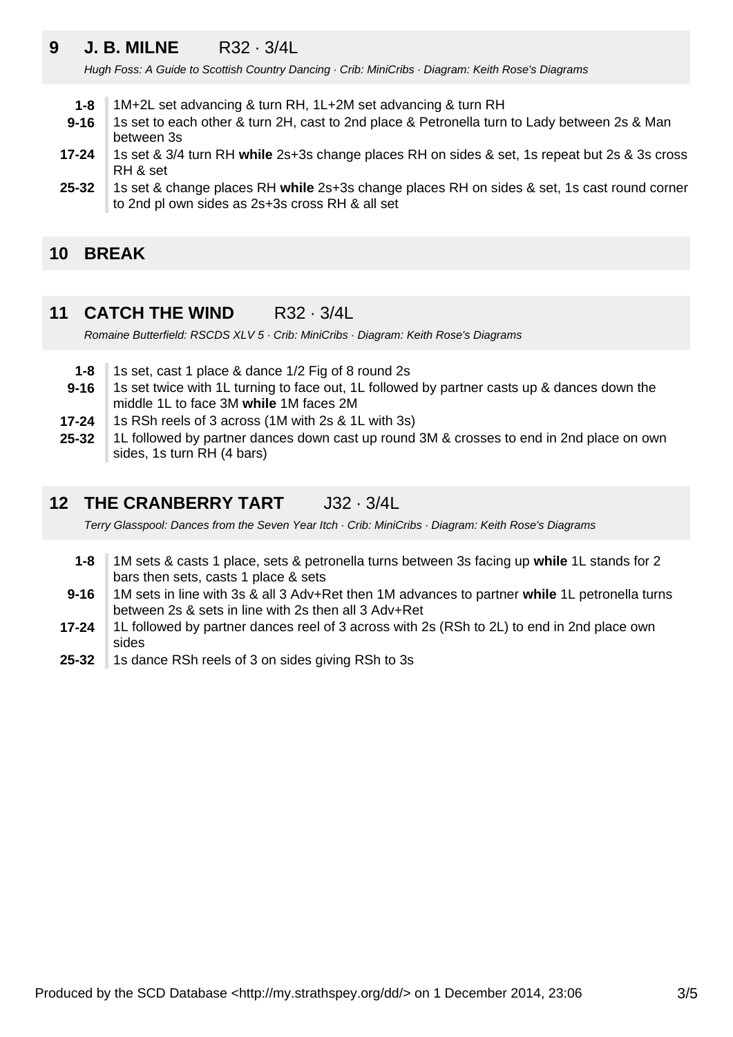# **9 J. B. MILNE** R32 · 3/4L

Hugh Foss: A Guide to Scottish Country Dancing · Crib: MiniCribs · Diagram: Keith Rose's Diagrams

- **1-8** 1M+2L set advancing & turn RH, 1L+2M set advancing & turn RH
- **9-16** 1s set to each other & turn 2H, cast to 2nd place & Petronella turn to Lady between 2s & Man between 3s
- **17-24** 1s set & 3/4 turn RH **while** 2s+3s change places RH on sides & set, 1s repeat but 2s & 3s cross RH & set
- **25-32** 1s set & change places RH **while** 2s+3s change places RH on sides & set, 1s cast round corner to 2nd pl own sides as 2s+3s cross RH & all set

### **10 BREAK**

### **11 CATCH THE WIND** R32 · 3/4L

Romaine Butterfield: RSCDS XLV 5 · Crib: MiniCribs · Diagram: Keith Rose's Diagrams

- **1-8** 1s set, cast 1 place & dance 1/2 Fig of 8 round 2s
- **9-16** 1s set twice with 1L turning to face out, 1L followed by partner casts up & dances down the middle 1L to face 3M **while** 1M faces 2M
- **17-24** 1s RSh reels of 3 across (1M with 2s & 1L with 3s)
- **25-32** 1L followed by partner dances down cast up round 3M & crosses to end in 2nd place on own sides, 1s turn RH (4 bars)

### **12 THE CRANBERRY TART** J32 · 3/4L

Terry Glasspool: Dances from the Seven Year Itch · Crib: MiniCribs · Diagram: Keith Rose's Diagrams

- **1-8** 1M sets & casts 1 place, sets & petronella turns between 3s facing up **while** 1L stands for 2 bars then sets, casts 1 place & sets
- **9-16** 1M sets in line with 3s & all 3 Adv+Ret then 1M advances to partner **while** 1L petronella turns between 2s & sets in line with 2s then all 3 Adv+Ret
- **17-24** 1L followed by partner dances reel of 3 across with 2s (RSh to 2L) to end in 2nd place own sides
- **25-32** 1s dance RSh reels of 3 on sides giving RSh to 3s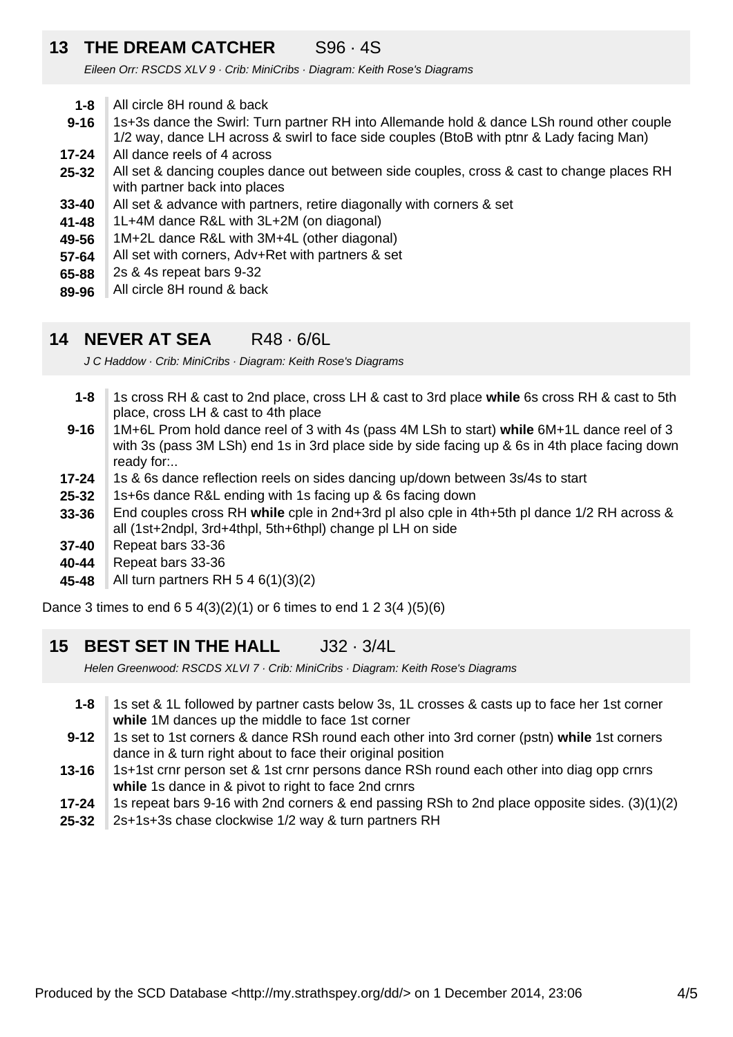## **13 THE DREAM CATCHER** S96 · 4S

Eileen Orr: RSCDS XLV 9 · Crib: MiniCribs · Diagram: Keith Rose's Diagrams

- **1-8** All circle 8H round & back
- **9-16** 1s+3s dance the Swirl: Turn partner RH into Allemande hold & dance LSh round other couple 1/2 way, dance LH across & swirl to face side couples (BtoB with ptnr & Lady facing Man)
- **17-24** All dance reels of 4 across
- **25-32** All set & dancing couples dance out between side couples, cross & cast to change places RH with partner back into places
- **33-40** All set & advance with partners, retire diagonally with corners & set
- **41-48** 1L+4M dance R&L with 3L+2M (on diagonal)
- **49-56** 1M+2L dance R&L with 3M+4L (other diagonal)
- **57-64** All set with corners, Adv+Ret with partners & set
- **65-88** 2s & 4s repeat bars 9-32
- **89-96** All circle 8H round & back

#### **14 NEVER AT SEA** R48 · 6/6L

J C Haddow · Crib: MiniCribs · Diagram: Keith Rose's Diagrams

- **1-8** 1s cross RH & cast to 2nd place, cross LH & cast to 3rd place **while** 6s cross RH & cast to 5th place, cross LH & cast to 4th place
- **9-16** 1M+6L Prom hold dance reel of 3 with 4s (pass 4M LSh to start) **while** 6M+1L dance reel of 3 with 3s (pass 3M LSh) end 1s in 3rd place side by side facing up & 6s in 4th place facing down ready for:..
- **17-24** 1s & 6s dance reflection reels on sides dancing up/down between 3s/4s to start
- **25-32** 1s+6s dance R&L ending with 1s facing up & 6s facing down
- **33-36** End couples cross RH **while** cple in 2nd+3rd pl also cple in 4th+5th pl dance 1/2 RH across & all (1st+2ndpl, 3rd+4thpl, 5th+6thpl) change pl LH on side
- **37-40** Repeat bars 33-36
- **40-44** Repeat bars 33-36
- **45-48** All turn partners RH 5 4 6(1)(3)(2)

Dance 3 times to end 6 5 4(3)(2)(1) or 6 times to end 1 2 3(4 )(5)(6)

#### **15 BEST SET IN THE HALL** J32 · 3/4L

Helen Greenwood: RSCDS XLVI 7 · Crib: MiniCribs · Diagram: Keith Rose's Diagrams

- **1-8** 1s set & 1L followed by partner casts below 3s, 1L crosses & casts up to face her 1st corner **while** 1M dances up the middle to face 1st corner
- **9-12** 1s set to 1st corners & dance RSh round each other into 3rd corner (pstn) **while** 1st corners dance in & turn right about to face their original position
- **13-16** 1s+1st crnr person set & 1st crnr persons dance RSh round each other into diag opp crnrs **while** 1s dance in & pivot to right to face 2nd crnrs
- **17-24** 1s repeat bars 9-16 with 2nd corners & end passing RSh to 2nd place opposite sides. (3)(1)(2)
- **25-32** 2s+1s+3s chase clockwise 1/2 way & turn partners RH